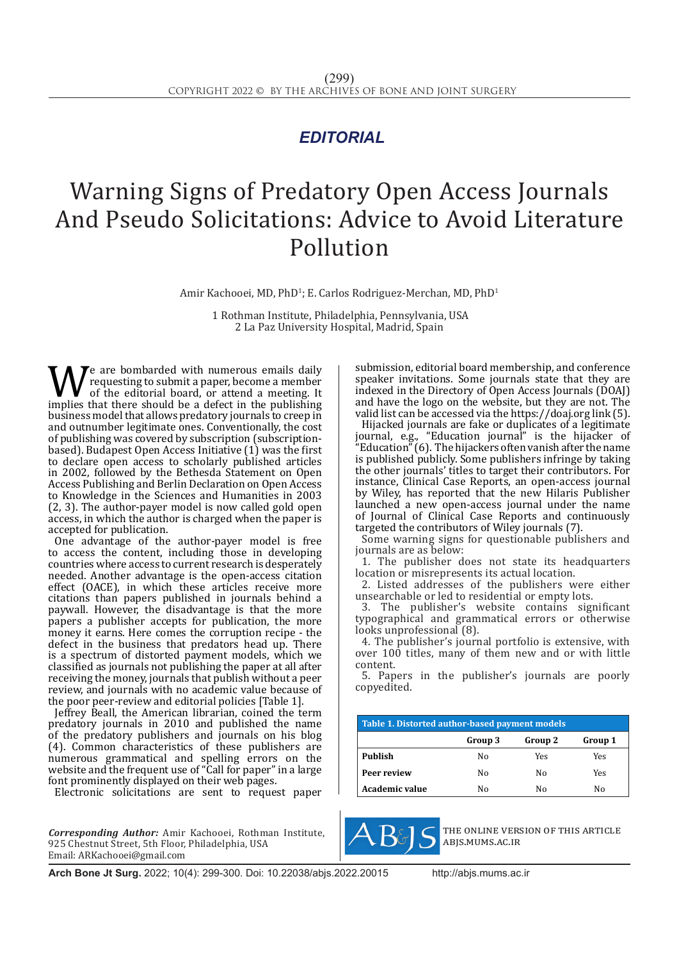## *EDITORIAL*

## Warning Signs of Predatory Open Access Journals And Pseudo Solicitations: Advice to Avoid Literature Pollution

Amir Kachooei, MD, PhD<sup>1</sup>; E. Carlos Rodriguez-Merchan, MD, PhD<sup>1</sup>

 1 Rothman Institute, Philadelphia, Pennsylvania, USA 2 La Paz University Hospital, Madrid, Spain

We are bombarded with numerous emails daily<br>of the editorial board, or attend a meeting. It<br>implies that there should be a defect in the publishing<br>business model that allows predatory journals to creen in requesting to submit a paper, become a member of the editorial board, or attend a meeting. It business model that allows predatory journals to creep in and outnumber legitimate ones. Conventionally, the cost of publishing was covered by subscription (subscriptionbased). Budapest Open Access Initiative (1) was the first to declare open access to scholarly published articles in 2002, followed by the Bethesda Statement on Open Access Publishing and Berlin Declaration on Open Access to Knowledge in the Sciences and Humanities in 2003 (2, 3). The author-payer model is now called gold open access, in which the author is charged when the paper is accepted for publication.

One advantage of the author-payer model is free to access the content, including those in developing countries where access to current research is desperately needed. Another advantage is the open-access citation effect (OACE), in which these articles receive more citations than papers published in journals behind a paywall. However, the disadvantage is that the more papers a publisher accepts for publication, the more money it earns. Here comes the corruption recipe - the defect in the business that predators head up. There is a spectrum of distorted payment models, which we classified as journals not publishing the paper at all after receiving the money, journals that publish without a peer review, and journals with no academic value because of the poor peer-review and editorial policies [Table 1].

Jeffrey Beall, the American librarian, coined the term predatory journals in 2010 and published the name of the predatory publishers and journals on his blog (4). Common characteristics of these publishers are numerous grammatical and spelling errors on the website and the frequent use of "Call for paper" in a large font prominently displayed on their web pages.

Electronic solicitations are sent to request paper

*Corresponding Author:* Amir Kachooei, Rothman Institute, 925 Chestnut Street, 5th Floor, Philadelphia, USA Email: ARKachooei@gmail.com

submission, editorial board membership, and conference speaker invitations. Some journals state that they are indexed in the Directory of Open Access Journals (DOAJ) and have the logo on the website, but they are not. The valid list can be accessed via the https://doaj.org link (5).

Hijacked journals are fake or duplicates of a legitimate journal, e.g., "Education journal" is the hijacker of "Education" (6). The hijackers often vanish after the name is published publicly. Some publishers infringe by taking the other journals' titles to target their contributors. For instance, Clinical Case Reports, an open-access journal by Wiley, has reported that the new Hilaris Publisher launched a new open-access journal under the name of Journal of Clinical Case Reports and continuously targeted the contributors of Wiley journals (7).

Some warning signs for questionable publishers and journals are as below:

1. The publisher does not state its headquarters location or misrepresents its actual location.

2. Listed addresses of the publishers were either unsearchable or led to residential or empty lots.

3. The publisher's website contains significant typographical and grammatical errors or otherwise looks unprofessional (8).

4. The publisher's journal portfolio is extensive, with over 100 titles, many of them new and or with little content.

5. Papers in the publisher's journals are poorly copyedited.

| Table 1. Distorted author-based payment models |         |         |         |
|------------------------------------------------|---------|---------|---------|
|                                                | Group 3 | Group 2 | Group 1 |
| Publish                                        | Nο      | Yes     | Yes     |
| Peer review                                    | Nο      | Nο      | Yes     |
| Academic value                                 | Nο      | Nο      | Nο      |



the online version of this article abjs.mums.ac.ir

**Arch Bone Jt Surg.** 2022; 10(4): 299-300. Doi: 10.22038/abjs.2022.20015 http://abjs.mums.ac.ir